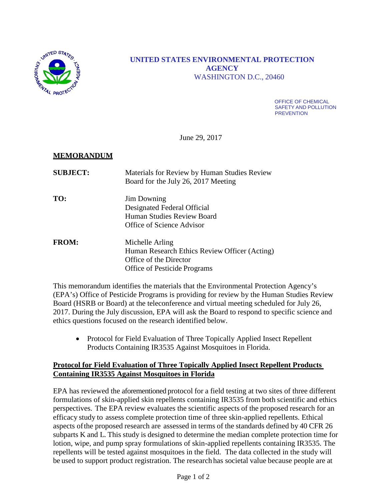

# **UNITED STATES ENVIRONMENTAL PROTECTION AGENCY** WASHINGTON D.C., 20460

OFFICE OF CHEMICAL SAFETY AND POLLUTION **PREVENTION** 

June 29, 2017

# **MEMORANDUM**

| <b>SUBJECT:</b> | Materials for Review by Human Studies Review<br>Board for the July 26, 2017 Meeting                                               |
|-----------------|-----------------------------------------------------------------------------------------------------------------------------------|
| TO:             | <b>Jim Downing</b><br>Designated Federal Official<br>Human Studies Review Board<br>Office of Science Advisor                      |
| <b>FROM:</b>    | Michelle Arling<br>Human Research Ethics Review Officer (Acting)<br>Office of the Director<br><b>Office of Pesticide Programs</b> |

This memorandum identifies the materials that the Environmental Protection Agency's (EPA's) Office of Pesticide Programs is providing for review by the Human Studies Review Board (HSRB or Board) at the teleconference and virtual meeting scheduled for July 26, 2017. During the July discussion, EPA will ask the Board to respond to specific science and ethics questions focused on the research identified below.

• Protocol for Field Evaluation of Three Topically Applied Insect Repellent Products Containing IR3535 Against Mosquitoes in Florida.

### **Protocol for Field Evaluation of Three Topically Applied Insect Repellent Products Containing IR3535 Against Mosquitoes in Florida**

EPA has reviewed the aforementioned protocol for a field testing at two sites of three different formulations of skin-applied skin repellents containing IR3535 from both scientific and ethics perspectives. The EPA review evaluates the scientific aspects of the proposed research for an efficacy study to assess complete protection time of three skin-applied repellents. Ethical aspects ofthe proposed research are assessed in terms of the standards defined by 40 CFR 26 subparts K and L. This study is designed to determine the median complete protection time for lotion, wipe, and pump spray formulations of skin-applied repellents containing IR3535. The repellents will be tested against mosquitoes in the field. The data collected in the study will be used to support product registration. The research has societal value because people are at